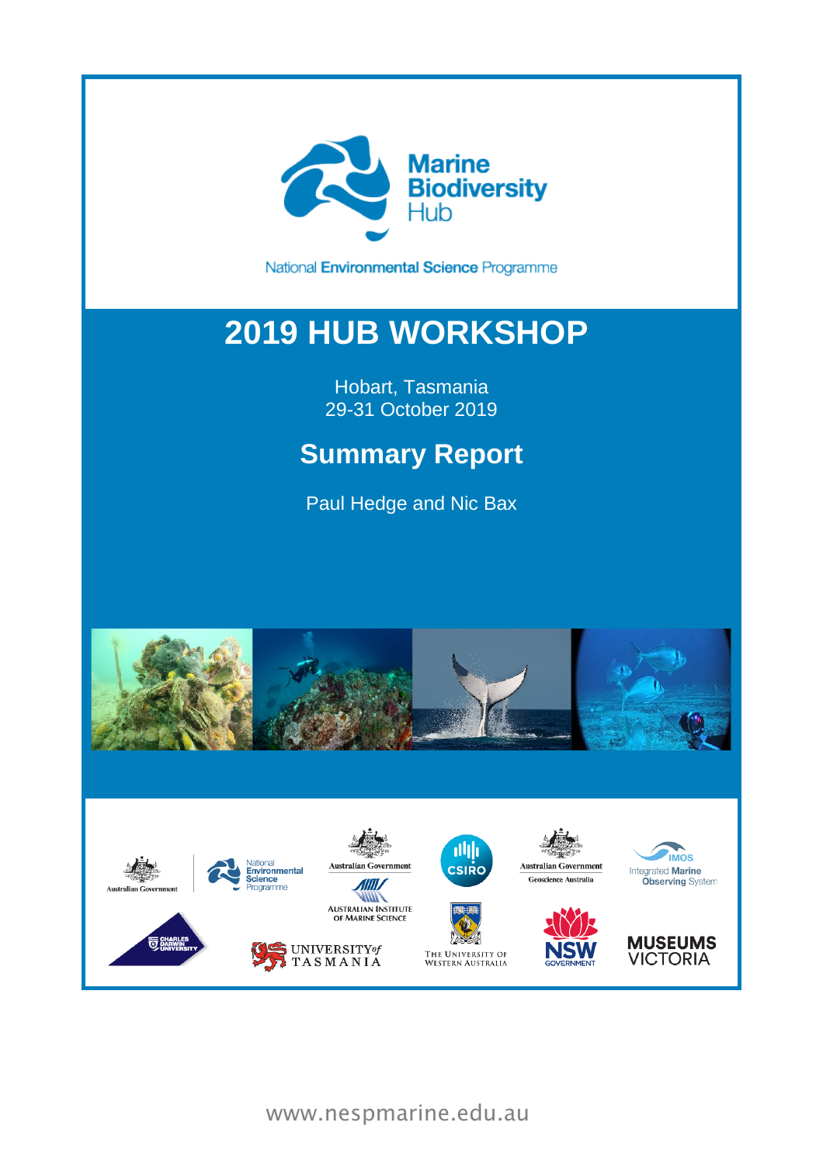

National Environmental Science Programme

# **2019 HUB WORKSHOP**

Hobart, Tasmania 29-31 October 2019

## **Summary Report**

Paul Hedge and Nic Bax





www.nespmarine.edu.au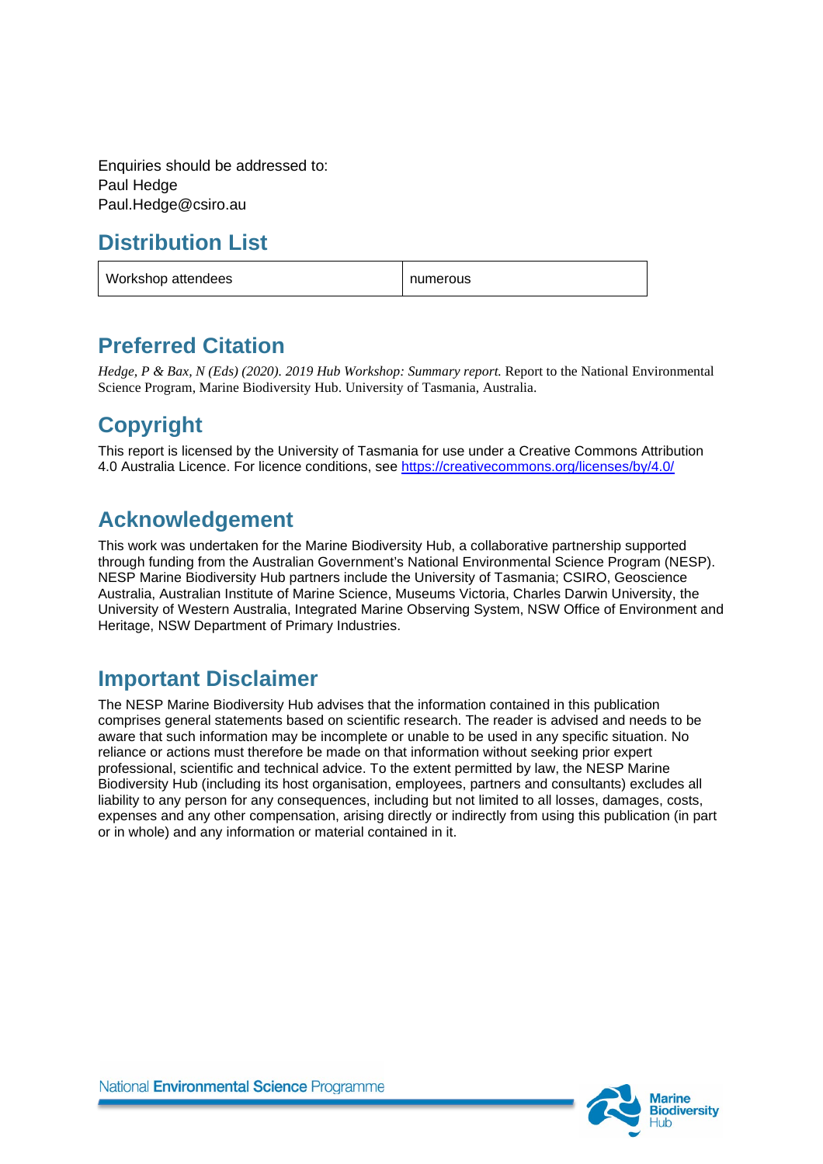Enquiries should be addressed to: Paul Hedge Paul.Hedge@csiro.au

## **Distribution List**

| Workshop attendees | numerous |
|--------------------|----------|
|--------------------|----------|

#### **Preferred Citation**

*Hedge, P & Bax, N (Eds) (2020). 2019 Hub Workshop: Summary report.* Report to the National Environmental Science Program, Marine Biodiversity Hub. University of Tasmania, Australia.

## **Copyright**

This report is licensed by the University of Tasmania for use under a Creative Commons Attribution 4.0 Australia Licence. For licence conditions, see<https://creativecommons.org/licenses/by/4.0/>

## **Acknowledgement**

This work was undertaken for the Marine Biodiversity Hub, a collaborative partnership supported through funding from the Australian Government's National Environmental Science Program (NESP). NESP Marine Biodiversity Hub partners include the University of Tasmania; CSIRO, Geoscience Australia, Australian Institute of Marine Science, Museums Victoria, Charles Darwin University, the University of Western Australia, Integrated Marine Observing System, NSW Office of Environment and Heritage, NSW Department of Primary Industries.

## **Important Disclaimer**

The NESP Marine Biodiversity Hub advises that the information contained in this publication comprises general statements based on scientific research. The reader is advised and needs to be aware that such information may be incomplete or unable to be used in any specific situation. No reliance or actions must therefore be made on that information without seeking prior expert professional, scientific and technical advice. To the extent permitted by law, the NESP Marine Biodiversity Hub (including its host organisation, employees, partners and consultants) excludes all liability to any person for any consequences, including but not limited to all losses, damages, costs, expenses and any other compensation, arising directly or indirectly from using this publication (in part or in whole) and any information or material contained in it.

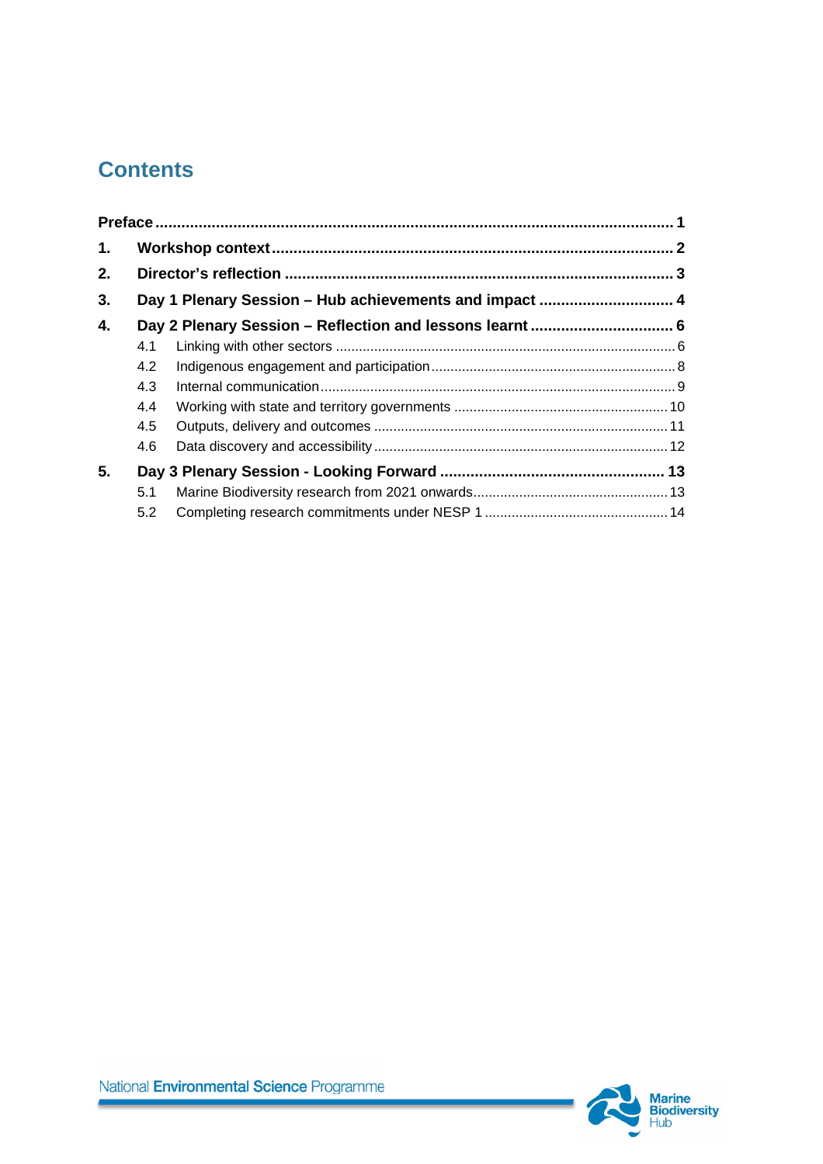## **Contents**

| $\mathbf{1}$ . |     |                                                        |  |
|----------------|-----|--------------------------------------------------------|--|
| 2.             |     |                                                        |  |
| 3.             |     | Day 1 Plenary Session - Hub achievements and impact  4 |  |
| 4.             |     |                                                        |  |
|                | 4.1 |                                                        |  |
|                | 4.2 |                                                        |  |
|                | 4.3 |                                                        |  |
|                | 4.4 |                                                        |  |
|                | 4.5 |                                                        |  |
|                | 4.6 |                                                        |  |
| 5.             |     |                                                        |  |
|                | 5.1 |                                                        |  |
|                | 5.2 |                                                        |  |

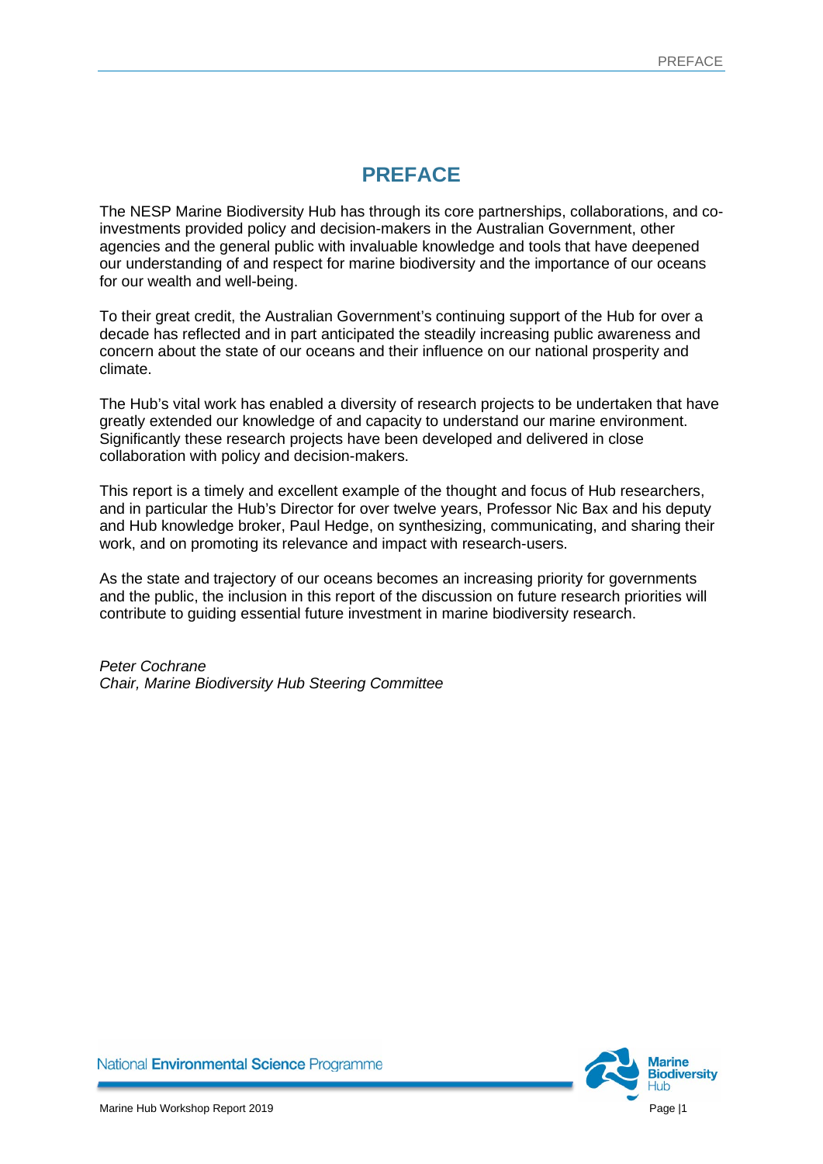## **PREFACE**

<span id="page-3-0"></span>The NESP Marine Biodiversity Hub has through its core partnerships, collaborations, and coinvestments provided policy and decision-makers in the Australian Government, other agencies and the general public with invaluable knowledge and tools that have deepened our understanding of and respect for marine biodiversity and the importance of our oceans for our wealth and well-being.

To their great credit, the Australian Government's continuing support of the Hub for over a decade has reflected and in part anticipated the steadily increasing public awareness and concern about the state of our oceans and their influence on our national prosperity and climate.

The Hub's vital work has enabled a diversity of research projects to be undertaken that have greatly extended our knowledge of and capacity to understand our marine environment. Significantly these research projects have been developed and delivered in close collaboration with policy and decision-makers.

This report is a timely and excellent example of the thought and focus of Hub researchers, and in particular the Hub's Director for over twelve years, Professor Nic Bax and his deputy and Hub knowledge broker, Paul Hedge, on synthesizing, communicating, and sharing their work, and on promoting its relevance and impact with research-users.

As the state and trajectory of our oceans becomes an increasing priority for governments and the public, the inclusion in this report of the discussion on future research priorities will contribute to guiding essential future investment in marine biodiversity research.

*Peter Cochrane Chair, Marine Biodiversity Hub Steering Committee*

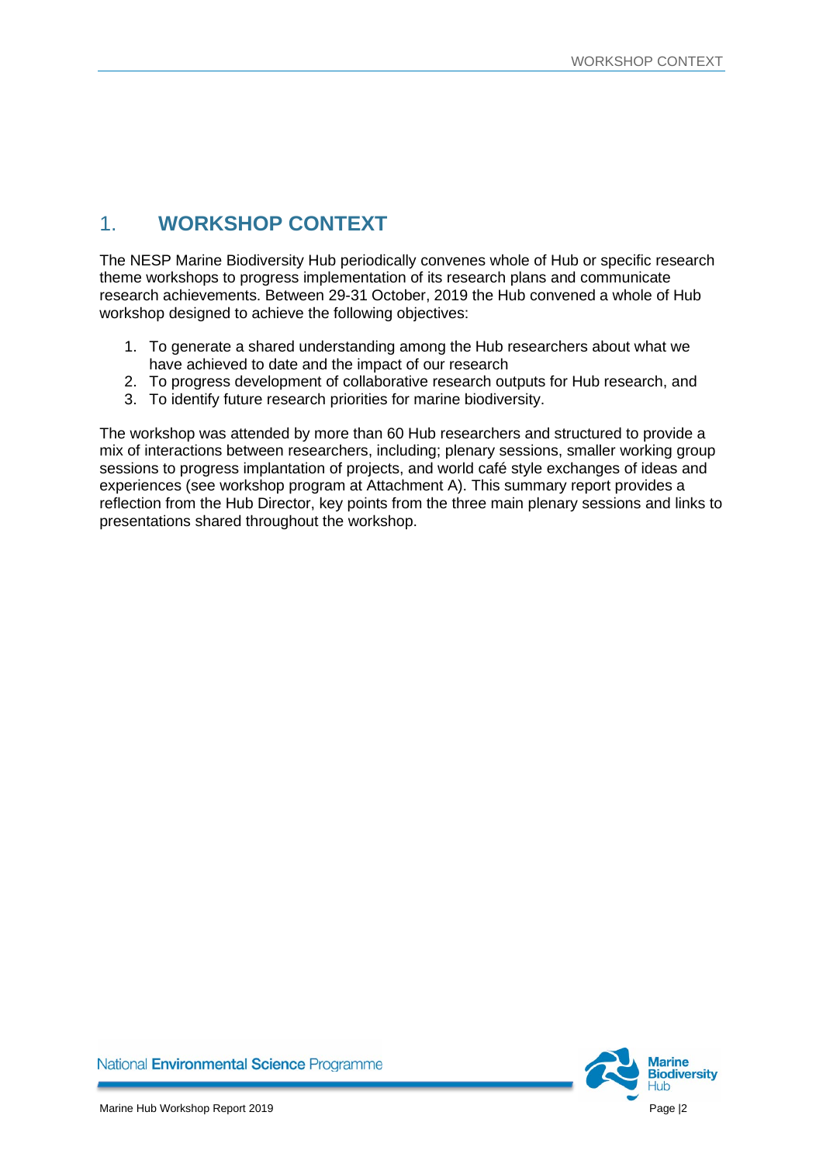## <span id="page-4-0"></span>1. **WORKSHOP CONTEXT**

The NESP Marine Biodiversity Hub periodically convenes whole of Hub or specific research theme workshops to progress implementation of its research plans and communicate research achievements. Between 29-31 October, 2019 the Hub convened a whole of Hub workshop designed to achieve the following objectives:

- 1. To generate a shared understanding among the Hub researchers about what we have achieved to date and the impact of our research
- 2. To progress development of collaborative research outputs for Hub research, and
- 3. To identify future research priorities for marine biodiversity.

The workshop was attended by more than 60 Hub researchers and structured to provide a mix of interactions between researchers, including; plenary sessions, smaller working group sessions to progress implantation of projects, and world café style exchanges of ideas and experiences (see workshop program at Attachment A). This summary report provides a reflection from the Hub Director, key points from the three main plenary sessions and links to presentations shared throughout the workshop.

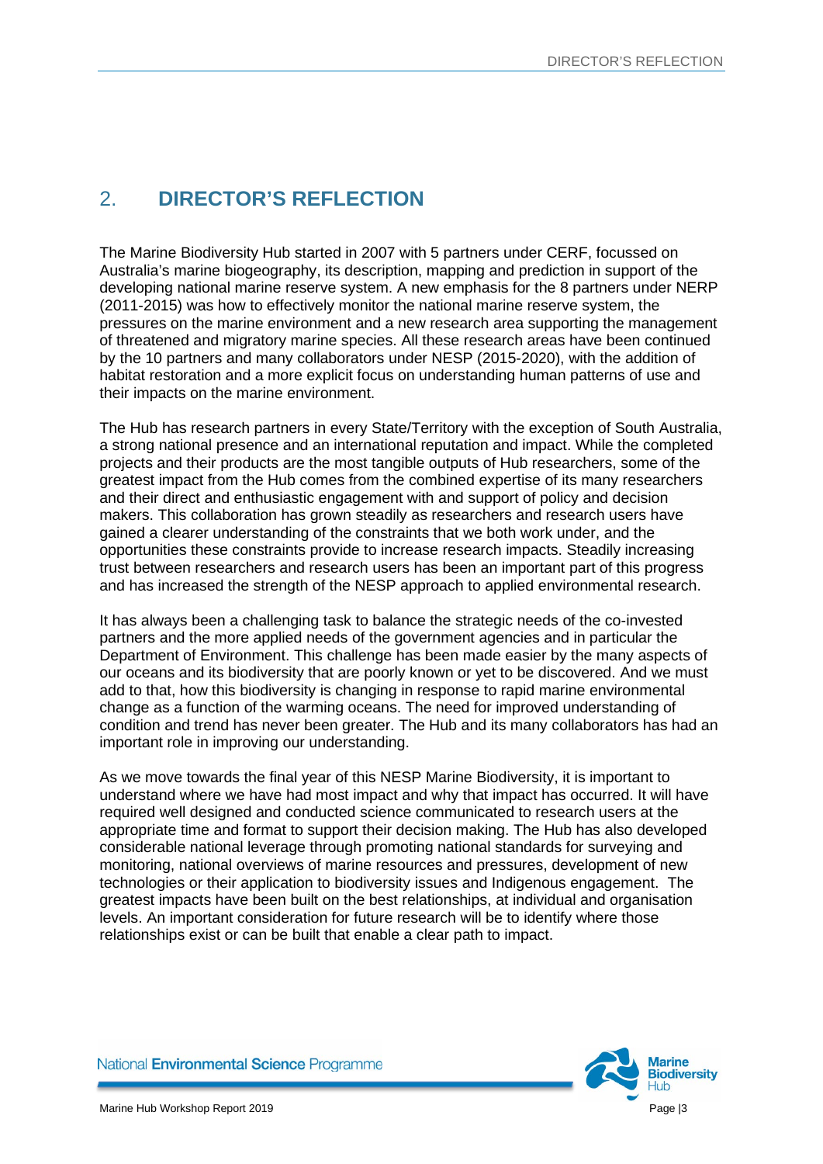## <span id="page-5-0"></span>2. **DIRECTOR'S REFLECTION**

The Marine Biodiversity Hub started in 2007 with 5 partners under CERF, focussed on Australia's marine biogeography, its description, mapping and prediction in support of the developing national marine reserve system. A new emphasis for the 8 partners under NERP (2011-2015) was how to effectively monitor the national marine reserve system, the pressures on the marine environment and a new research area supporting the management of threatened and migratory marine species. All these research areas have been continued by the 10 partners and many collaborators under NESP (2015-2020), with the addition of habitat restoration and a more explicit focus on understanding human patterns of use and their impacts on the marine environment.

The Hub has research partners in every State/Territory with the exception of South Australia, a strong national presence and an international reputation and impact. While the completed projects and their products are the most tangible outputs of Hub researchers, some of the greatest impact from the Hub comes from the combined expertise of its many researchers and their direct and enthusiastic engagement with and support of policy and decision makers. This collaboration has grown steadily as researchers and research users have gained a clearer understanding of the constraints that we both work under, and the opportunities these constraints provide to increase research impacts. Steadily increasing trust between researchers and research users has been an important part of this progress and has increased the strength of the NESP approach to applied environmental research.

It has always been a challenging task to balance the strategic needs of the co-invested partners and the more applied needs of the government agencies and in particular the Department of Environment. This challenge has been made easier by the many aspects of our oceans and its biodiversity that are poorly known or yet to be discovered. And we must add to that, how this biodiversity is changing in response to rapid marine environmental change as a function of the warming oceans. The need for improved understanding of condition and trend has never been greater. The Hub and its many collaborators has had an important role in improving our understanding.

As we move towards the final year of this NESP Marine Biodiversity, it is important to understand where we have had most impact and why that impact has occurred. It will have required well designed and conducted science communicated to research users at the appropriate time and format to support their decision making. The Hub has also developed considerable national leverage through promoting national standards for surveying and monitoring, national overviews of marine resources and pressures, development of new technologies or their application to biodiversity issues and Indigenous engagement. The greatest impacts have been built on the best relationships, at individual and organisation levels. An important consideration for future research will be to identify where those relationships exist or can be built that enable a clear path to impact.

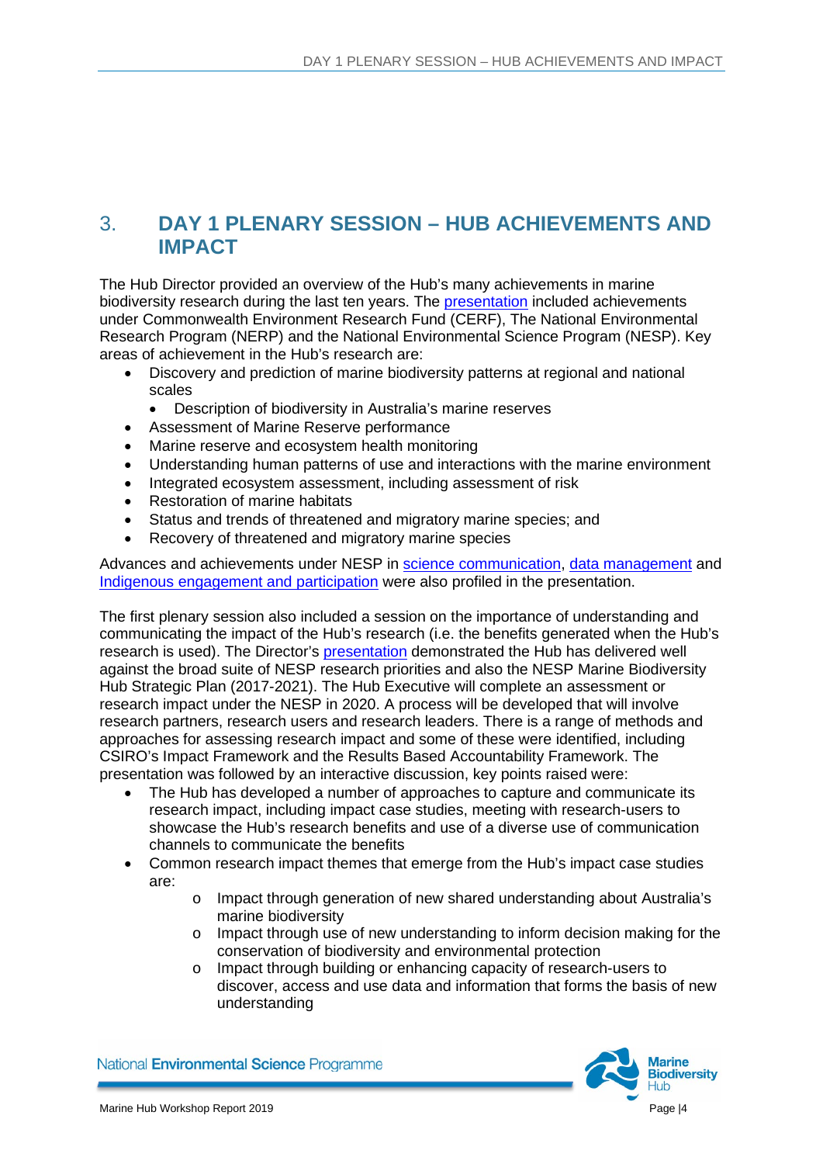#### <span id="page-6-0"></span>3. **DAY 1 PLENARY SESSION – HUB ACHIEVEMENTS AND IMPACT**

The Hub Director provided an overview of the Hub's many achievements in marine biodiversity research during the last ten years. The [presentation](https://www.nespmarine.edu.au/sites/default/files/Achievements%26Impacts.pdf) included achievements under Commonwealth Environment Research Fund (CERF), The National Environmental Research Program (NERP) and the National Environmental Science Program (NESP). Key areas of achievement in the Hub's research are:

- Discovery and prediction of marine biodiversity patterns at regional and national scales
	- Description of biodiversity in Australia's marine reserves
- Assessment of Marine Reserve performance
- Marine reserve and ecosystem health monitoring
- Understanding human patterns of use and interactions with the marine environment
- Integrated ecosystem assessment, including assessment of risk
- Restoration of marine habitats
- Status and trends of threatened and migratory marine species; and
- Recovery of threatened and migratory marine species

Advances and achievements under NESP in [science communication,](https://www.nespmarine.edu.au/sites/default/files/Science%20communication.pdf) [data management](https://www.nespmarine.edu.au/sites/default/files/Data%20Management.pdf) and [Indigenous engagement and participation](https://www.nespmarine.edu.au/sites/default/files/Indigenous%20engagement%20and%20participation.pdf) were also profiled in the presentation.

The first plenary session also included a session on the importance of understanding and communicating the impact of the Hub's research (i.e. the benefits generated when the Hub's research is used). The Director's [presentation](https://www.nespmarine.edu.au/sites/default/files/Hub%20research%20priorities%20and%20the%20strategic%20plan_1.pdf) demonstrated the Hub has delivered well against the broad suite of NESP research priorities and also the NESP Marine Biodiversity Hub Strategic Plan (2017-2021). The Hub Executive will complete an assessment or research impact under the NESP in 2020. A process will be developed that will involve research partners, research users and research leaders. There is a range of methods and approaches for assessing research impact and some of these were identified, including CSIRO's Impact Framework and the Results Based Accountability Framework. The presentation was followed by an interactive discussion, key points raised were:

- The Hub has developed a number of approaches to capture and communicate its research impact, including impact case studies, meeting with research-users to showcase the Hub's research benefits and use of a diverse use of communication channels to communicate the benefits
- Common research impact themes that emerge from the Hub's impact case studies are:
	- o Impact through generation of new shared understanding about Australia's marine biodiversity
	- o Impact through use of new understanding to inform decision making for the conservation of biodiversity and environmental protection
	- o Impact through building or enhancing capacity of research-users to discover, access and use data and information that forms the basis of new understanding

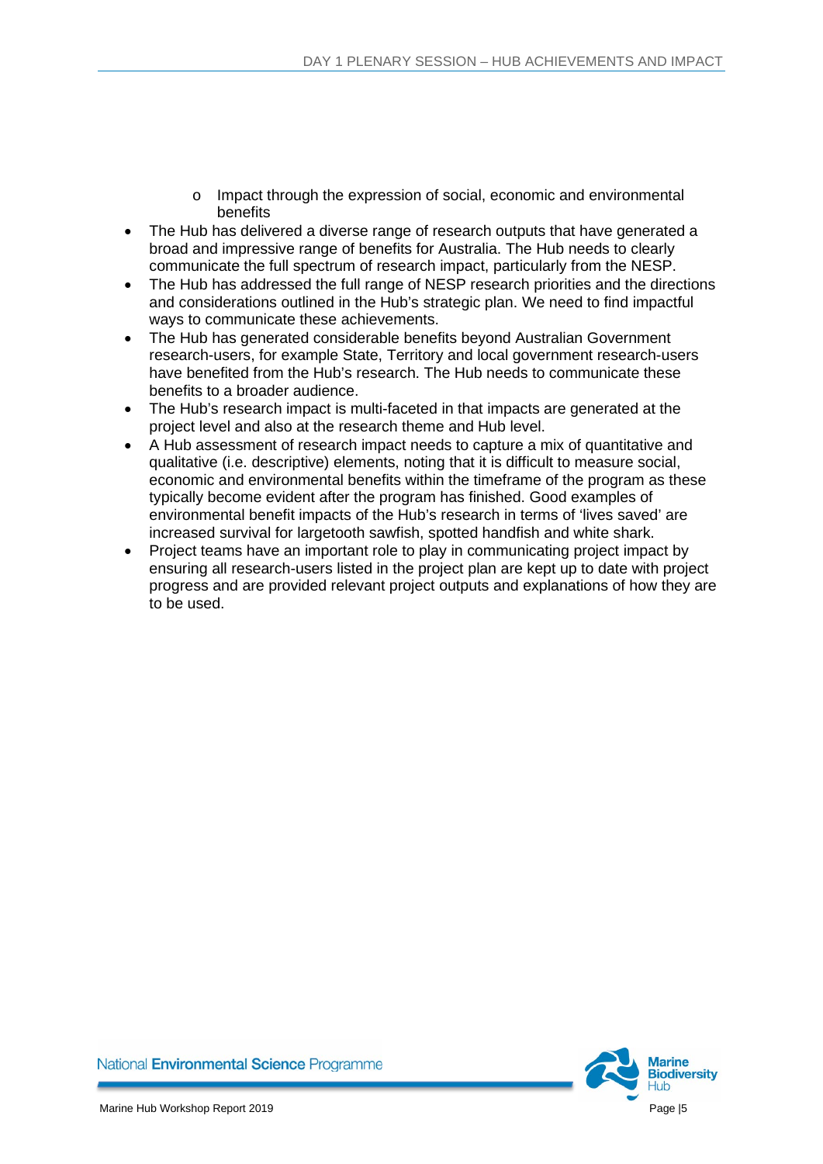- o Impact through the expression of social, economic and environmental benefits
- The Hub has delivered a diverse range of research outputs that have generated a broad and impressive range of benefits for Australia. The Hub needs to clearly communicate the full spectrum of research impact, particularly from the NESP.
- The Hub has addressed the full range of NESP research priorities and the directions and considerations outlined in the Hub's strategic plan. We need to find impactful ways to communicate these achievements.
- The Hub has generated considerable benefits beyond Australian Government research-users, for example State, Territory and local government research-users have benefited from the Hub's research. The Hub needs to communicate these benefits to a broader audience.
- The Hub's research impact is multi-faceted in that impacts are generated at the project level and also at the research theme and Hub level.
- A Hub assessment of research impact needs to capture a mix of quantitative and qualitative (i.e. descriptive) elements, noting that it is difficult to measure social, economic and environmental benefits within the timeframe of the program as these typically become evident after the program has finished. Good examples of environmental benefit impacts of the Hub's research in terms of 'lives saved' are increased survival for largetooth sawfish, spotted handfish and white shark.
- Project teams have an important role to play in communicating project impact by ensuring all research-users listed in the project plan are kept up to date with project progress and are provided relevant project outputs and explanations of how they are to be used.

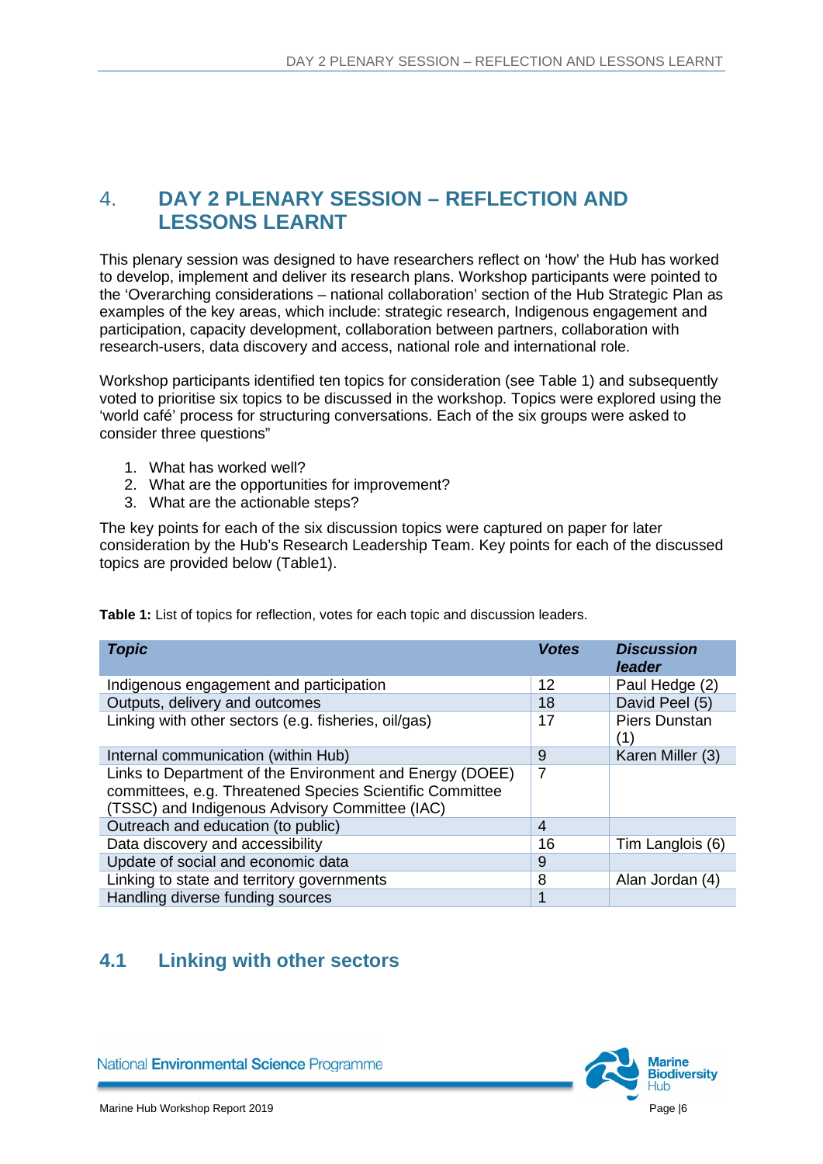#### <span id="page-8-0"></span>4. **DAY 2 PLENARY SESSION – REFLECTION AND LESSONS LEARNT**

This plenary session was designed to have researchers reflect on 'how' the Hub has worked to develop, implement and deliver its research plans. Workshop participants were pointed to the 'Overarching considerations – national collaboration' section of the Hub Strategic Plan as examples of the key areas, which include: strategic research, Indigenous engagement and participation, capacity development, collaboration between partners, collaboration with research-users, data discovery and access, national role and international role.

Workshop participants identified ten topics for consideration (see Table 1) and subsequently voted to prioritise six topics to be discussed in the workshop. Topics were explored using the 'world café' process for structuring conversations. Each of the six groups were asked to consider three questions"

- 1. What has worked well?
- 2. What are the opportunities for improvement?
- 3. What are the actionable steps?

The key points for each of the six discussion topics were captured on paper for later consideration by the Hub's Research Leadership Team. Key points for each of the discussed topics are provided below (Table1).

**Table 1:** List of topics for reflection, votes for each topic and discussion leaders.

| <b>Topic</b>                                                                                                                                                           | <b>Votes</b> | <b>Discussion</b><br>leader |
|------------------------------------------------------------------------------------------------------------------------------------------------------------------------|--------------|-----------------------------|
| Indigenous engagement and participation                                                                                                                                | 12           | Paul Hedge (2)              |
| Outputs, delivery and outcomes                                                                                                                                         | 18           | David Peel (5)              |
| Linking with other sectors (e.g. fisheries, oil/gas)                                                                                                                   |              | <b>Piers Dunstan</b>        |
| Internal communication (within Hub)                                                                                                                                    | 9            | Karen Miller (3)            |
| Links to Department of the Environment and Energy (DOEE)<br>committees, e.g. Threatened Species Scientific Committee<br>(TSSC) and Indigenous Advisory Committee (IAC) | 7            |                             |
| Outreach and education (to public)                                                                                                                                     | 4            |                             |
| Data discovery and accessibility                                                                                                                                       | 16           | Tim Langlois (6)            |
| Update of social and economic data                                                                                                                                     | 9            |                             |
| Linking to state and territory governments                                                                                                                             | 8            | Alan Jordan (4)             |
| Handling diverse funding sources                                                                                                                                       |              |                             |

#### <span id="page-8-1"></span>**4.1 Linking with other sectors**

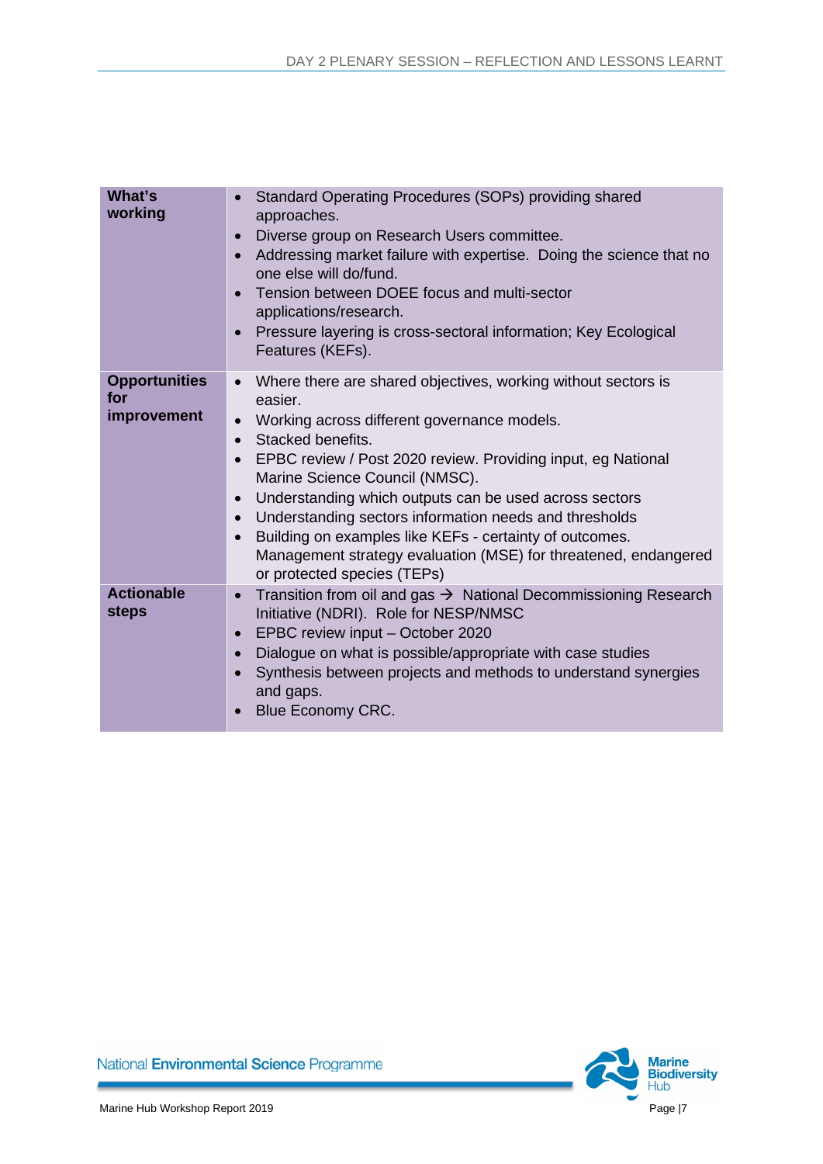| What's<br>working                          | Standard Operating Procedures (SOPs) providing shared<br>$\bullet$<br>approaches.<br>Diverse group on Research Users committee.<br>$\bullet$<br>Addressing market failure with expertise. Doing the science that no<br>$\bullet$<br>one else will do/fund.<br>Tension between DOEE focus and multi-sector<br>$\bullet$<br>applications/research.<br>Pressure layering is cross-sectoral information; Key Ecological<br>$\bullet$<br>Features (KEFs).                                                                                                                                                                       |
|--------------------------------------------|----------------------------------------------------------------------------------------------------------------------------------------------------------------------------------------------------------------------------------------------------------------------------------------------------------------------------------------------------------------------------------------------------------------------------------------------------------------------------------------------------------------------------------------------------------------------------------------------------------------------------|
| <b>Opportunities</b><br>for<br>improvement | Where there are shared objectives, working without sectors is<br>$\bullet$<br>easier.<br>Working across different governance models.<br>$\bullet$<br>Stacked benefits.<br>$\bullet$<br>EPBC review / Post 2020 review. Providing input, eg National<br>$\bullet$<br>Marine Science Council (NMSC).<br>Understanding which outputs can be used across sectors<br>$\bullet$<br>Understanding sectors information needs and thresholds<br>$\bullet$<br>Building on examples like KEFs - certainty of outcomes.<br>$\bullet$<br>Management strategy evaluation (MSE) for threatened, endangered<br>or protected species (TEPs) |
| <b>Actionable</b><br><b>steps</b>          | Transition from oil and gas $\rightarrow$ National Decommissioning Research<br>$\bullet$<br>Initiative (NDRI). Role for NESP/NMSC<br>EPBC review input - October 2020<br>$\bullet$<br>Dialogue on what is possible/appropriate with case studies<br>$\bullet$<br>Synthesis between projects and methods to understand synergies<br>$\bullet$<br>and gaps.<br><b>Blue Economy CRC.</b><br>$\bullet$                                                                                                                                                                                                                         |

<span id="page-9-0"></span>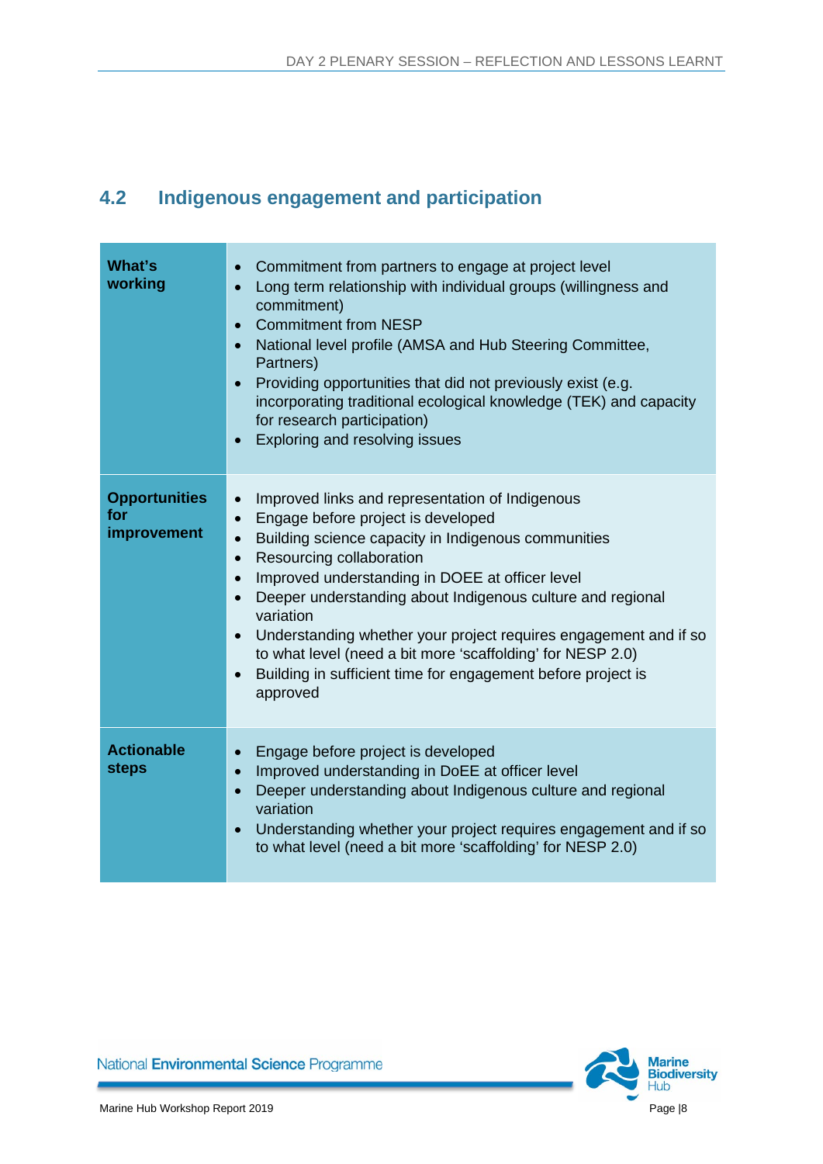## **4.2 Indigenous engagement and participation**

| What's<br>working                          | Commitment from partners to engage at project level<br>$\bullet$<br>Long term relationship with individual groups (willingness and<br>commitment)<br><b>Commitment from NESP</b><br>$\bullet$<br>National level profile (AMSA and Hub Steering Committee,<br>$\bullet$<br>Partners)<br>Providing opportunities that did not previously exist (e.g.<br>$\bullet$<br>incorporating traditional ecological knowledge (TEK) and capacity<br>for research participation)<br>Exploring and resolving issues<br>$\bullet$                                                                                                           |
|--------------------------------------------|------------------------------------------------------------------------------------------------------------------------------------------------------------------------------------------------------------------------------------------------------------------------------------------------------------------------------------------------------------------------------------------------------------------------------------------------------------------------------------------------------------------------------------------------------------------------------------------------------------------------------|
| <b>Opportunities</b><br>for<br>improvement | Improved links and representation of Indigenous<br>$\bullet$<br>Engage before project is developed<br>$\bullet$<br>Building science capacity in Indigenous communities<br>$\bullet$<br>Resourcing collaboration<br>$\bullet$<br>Improved understanding in DOEE at officer level<br>$\bullet$<br>Deeper understanding about Indigenous culture and regional<br>$\bullet$<br>variation<br>Understanding whether your project requires engagement and if so<br>$\bullet$<br>to what level (need a bit more 'scaffolding' for NESP 2.0)<br>Building in sufficient time for engagement before project is<br>$\bullet$<br>approved |
| <b>Actionable</b><br><b>steps</b>          | Engage before project is developed<br>$\bullet$<br>Improved understanding in DoEE at officer level<br>$\bullet$<br>Deeper understanding about Indigenous culture and regional<br>$\bullet$<br>variation<br>Understanding whether your project requires engagement and if so<br>$\bullet$<br>to what level (need a bit more 'scaffolding' for NESP 2.0)                                                                                                                                                                                                                                                                       |

<span id="page-10-0"></span>

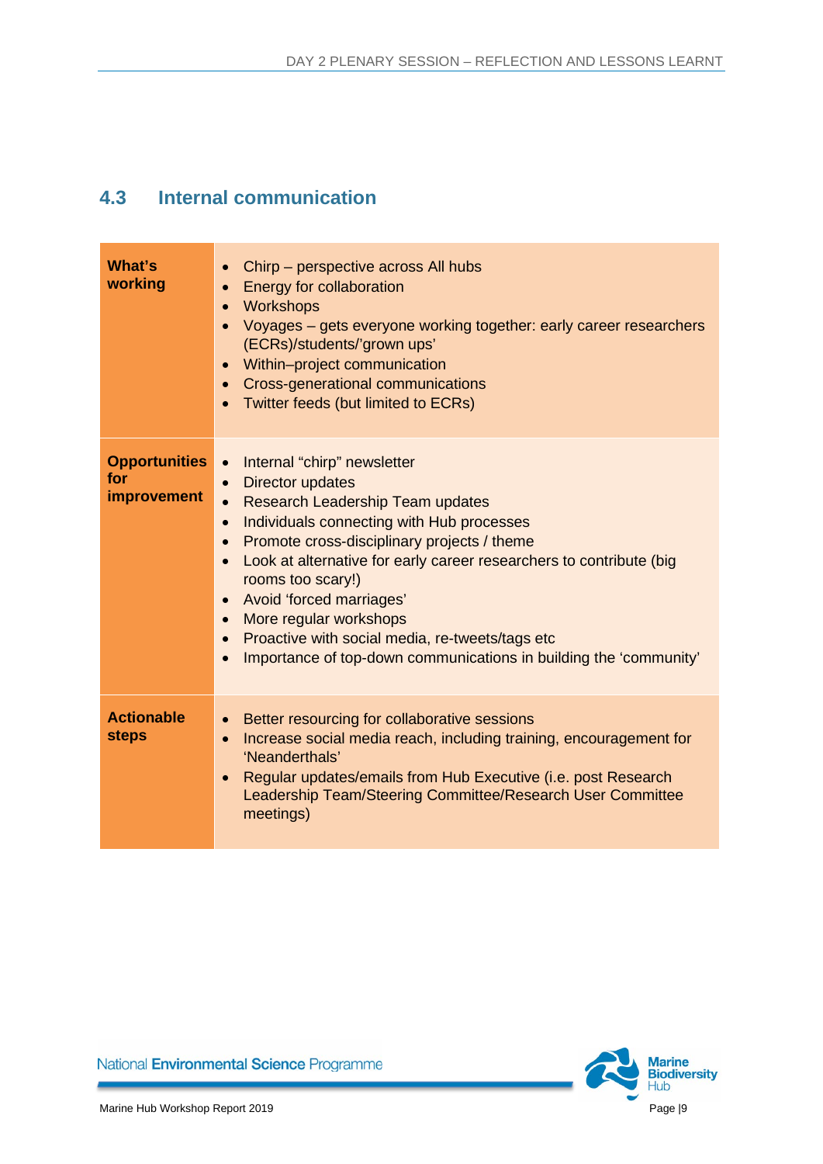#### **4.3 Internal communication**

| What's<br>working                          | Chirp – perspective across All hubs<br>$\bullet$<br><b>Energy for collaboration</b><br>$\bullet$<br>Workshops<br>Voyages - gets everyone working together: early career researchers<br>$\bullet$<br>(ECRs)/students/'grown ups'<br>Within-project communication<br>Cross-generational communications<br>Twitter feeds (but limited to ECRs)                                                                                                                                                                                                                                           |
|--------------------------------------------|---------------------------------------------------------------------------------------------------------------------------------------------------------------------------------------------------------------------------------------------------------------------------------------------------------------------------------------------------------------------------------------------------------------------------------------------------------------------------------------------------------------------------------------------------------------------------------------|
| <b>Opportunities</b><br>for<br>improvement | Internal "chirp" newsletter<br>$\bullet$<br>Director updates<br>$\bullet$<br><b>Research Leadership Team updates</b><br>$\bullet$<br>Individuals connecting with Hub processes<br>$\bullet$<br>Promote cross-disciplinary projects / theme<br>$\bullet$<br>Look at alternative for early career researchers to contribute (big<br>$\bullet$<br>rooms too scary!)<br>Avoid 'forced marriages'<br>More regular workshops<br>$\bullet$<br>Proactive with social media, re-tweets/tags etc<br>$\bullet$<br>Importance of top-down communications in building the 'community'<br>$\bullet$ |
| <b>Actionable</b><br><b>steps</b>          | Better resourcing for collaborative sessions<br>$\bullet$<br>Increase social media reach, including training, encouragement for<br>$\bullet$<br>'Neanderthals'<br>Regular updates/emails from Hub Executive (i.e. post Research<br>Leadership Team/Steering Committee/Research User Committee<br>meetings)                                                                                                                                                                                                                                                                            |

<span id="page-11-0"></span>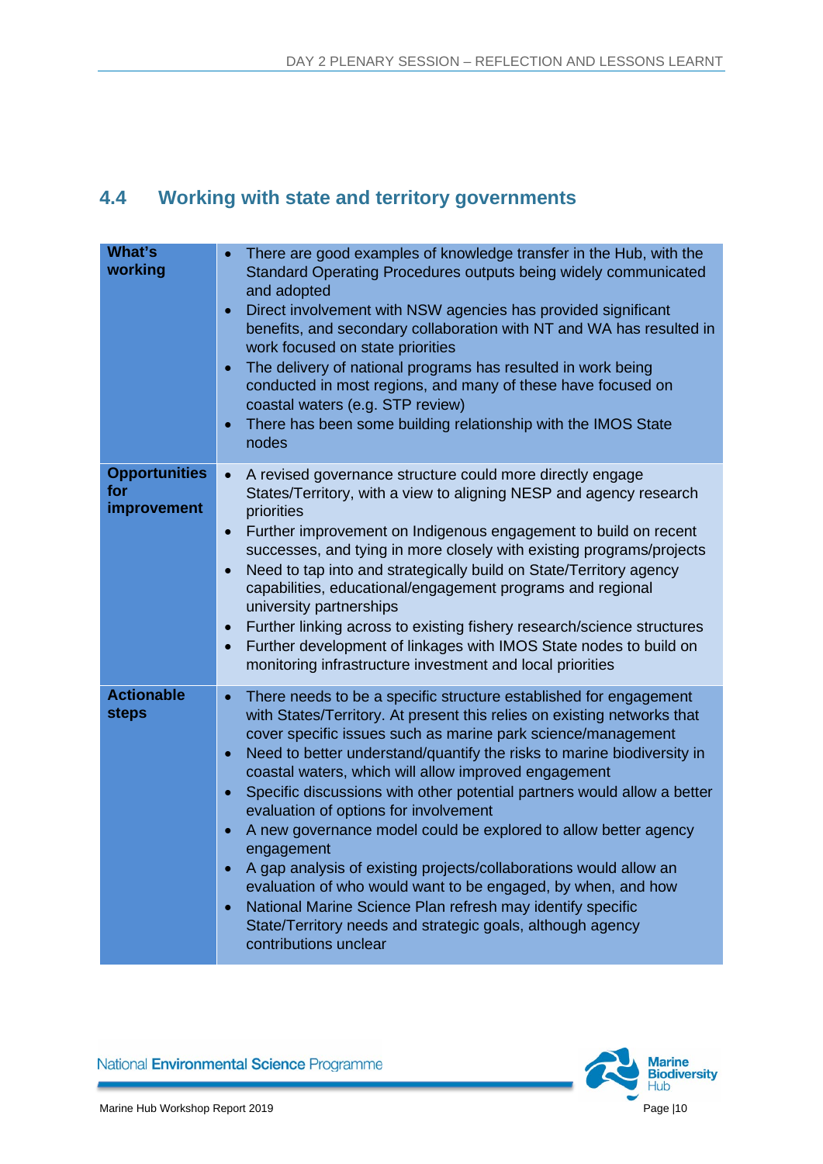## **4.4 Working with state and territory governments**

| What's<br>working                          | There are good examples of knowledge transfer in the Hub, with the<br>Standard Operating Procedures outputs being widely communicated<br>and adopted<br>Direct involvement with NSW agencies has provided significant<br>$\bullet$<br>benefits, and secondary collaboration with NT and WA has resulted in<br>work focused on state priorities<br>The delivery of national programs has resulted in work being<br>$\bullet$<br>conducted in most regions, and many of these have focused on<br>coastal waters (e.g. STP review)<br>There has been some building relationship with the IMOS State<br>$\bullet$<br>nodes                                                                                                                                                                                                                                                                                                      |
|--------------------------------------------|-----------------------------------------------------------------------------------------------------------------------------------------------------------------------------------------------------------------------------------------------------------------------------------------------------------------------------------------------------------------------------------------------------------------------------------------------------------------------------------------------------------------------------------------------------------------------------------------------------------------------------------------------------------------------------------------------------------------------------------------------------------------------------------------------------------------------------------------------------------------------------------------------------------------------------|
| <b>Opportunities</b><br>for<br>improvement | A revised governance structure could more directly engage<br>$\bullet$<br>States/Territory, with a view to aligning NESP and agency research<br>priorities<br>Further improvement on Indigenous engagement to build on recent<br>$\bullet$<br>successes, and tying in more closely with existing programs/projects<br>Need to tap into and strategically build on State/Territory agency<br>$\bullet$<br>capabilities, educational/engagement programs and regional<br>university partnerships<br>Further linking across to existing fishery research/science structures<br>$\bullet$<br>Further development of linkages with IMOS State nodes to build on<br>$\bullet$<br>monitoring infrastructure investment and local priorities                                                                                                                                                                                        |
| <b>Actionable</b><br><b>steps</b>          | There needs to be a specific structure established for engagement<br>$\bullet$<br>with States/Territory. At present this relies on existing networks that<br>cover specific issues such as marine park science/management<br>Need to better understand/quantify the risks to marine biodiversity in<br>$\bullet$<br>coastal waters, which will allow improved engagement<br>Specific discussions with other potential partners would allow a better<br>$\bullet$<br>evaluation of options for involvement<br>A new governance model could be explored to allow better agency<br>$\bullet$<br>engagement<br>A gap analysis of existing projects/collaborations would allow an<br>$\bullet$<br>evaluation of who would want to be engaged, by when, and how<br>National Marine Science Plan refresh may identify specific<br>$\bullet$<br>State/Territory needs and strategic goals, although agency<br>contributions unclear |

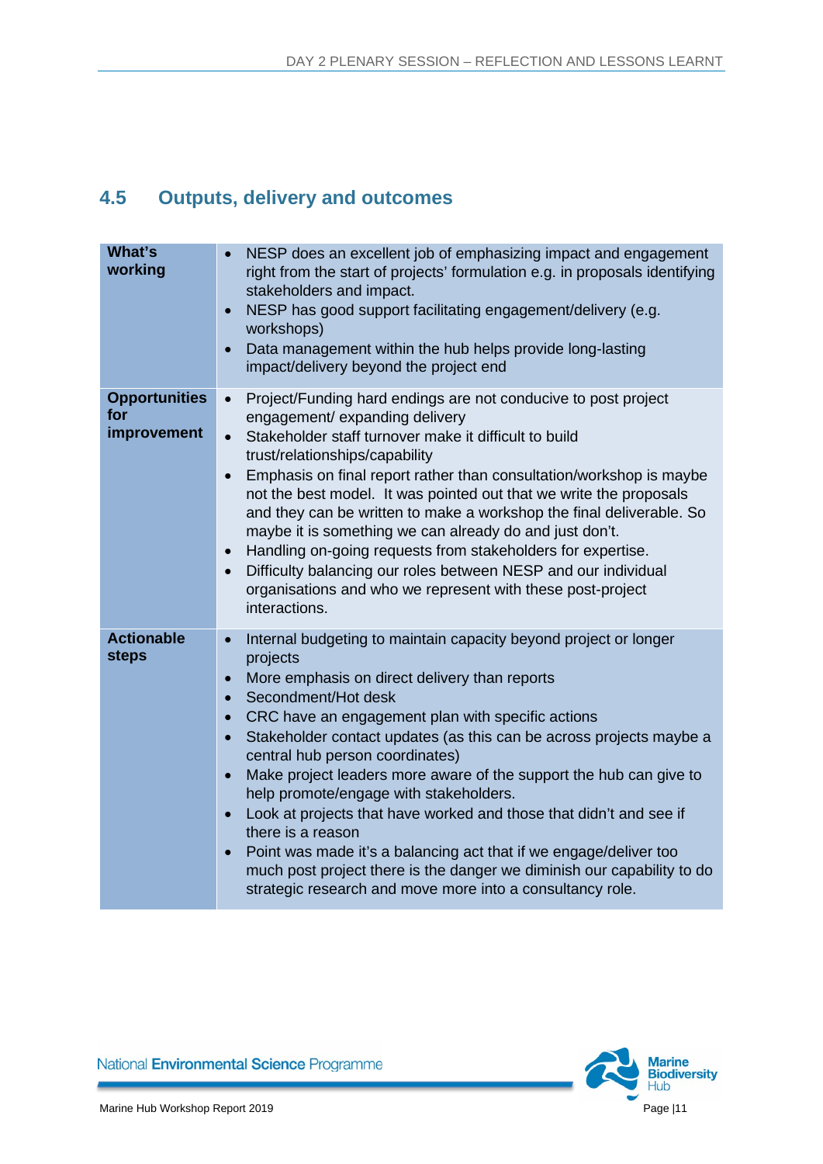## <span id="page-13-0"></span>**4.5 Outputs, delivery and outcomes**

| What's<br>working                          | NESP does an excellent job of emphasizing impact and engagement<br>right from the start of projects' formulation e.g. in proposals identifying<br>stakeholders and impact.<br>NESP has good support facilitating engagement/delivery (e.g.<br>$\bullet$<br>workshops)<br>Data management within the hub helps provide long-lasting<br>$\bullet$<br>impact/delivery beyond the project end                                                                                                                                                                                                                                                                                                                                                                                                                                                          |
|--------------------------------------------|----------------------------------------------------------------------------------------------------------------------------------------------------------------------------------------------------------------------------------------------------------------------------------------------------------------------------------------------------------------------------------------------------------------------------------------------------------------------------------------------------------------------------------------------------------------------------------------------------------------------------------------------------------------------------------------------------------------------------------------------------------------------------------------------------------------------------------------------------|
| <b>Opportunities</b><br>for<br>improvement | Project/Funding hard endings are not conducive to post project<br>$\bullet$<br>engagement/ expanding delivery<br>Stakeholder staff turnover make it difficult to build<br>$\bullet$<br>trust/relationships/capability<br>Emphasis on final report rather than consultation/workshop is maybe<br>$\bullet$<br>not the best model. It was pointed out that we write the proposals<br>and they can be written to make a workshop the final deliverable. So<br>maybe it is something we can already do and just don't.<br>Handling on-going requests from stakeholders for expertise.<br>$\bullet$<br>Difficulty balancing our roles between NESP and our individual<br>$\bullet$<br>organisations and who we represent with these post-project<br>interactions.                                                                                       |
| <b>Actionable</b><br><b>steps</b>          | Internal budgeting to maintain capacity beyond project or longer<br>$\bullet$<br>projects<br>More emphasis on direct delivery than reports<br>$\bullet$<br>Secondment/Hot desk<br>$\bullet$<br>CRC have an engagement plan with specific actions<br>$\bullet$<br>Stakeholder contact updates (as this can be across projects maybe a<br>$\bullet$<br>central hub person coordinates)<br>Make project leaders more aware of the support the hub can give to<br>$\bullet$<br>help promote/engage with stakeholders.<br>Look at projects that have worked and those that didn't and see if<br>$\bullet$<br>there is a reason<br>Point was made it's a balancing act that if we engage/deliver too<br>$\bullet$<br>much post project there is the danger we diminish our capability to do<br>strategic research and move more into a consultancy role. |

<span id="page-13-1"></span>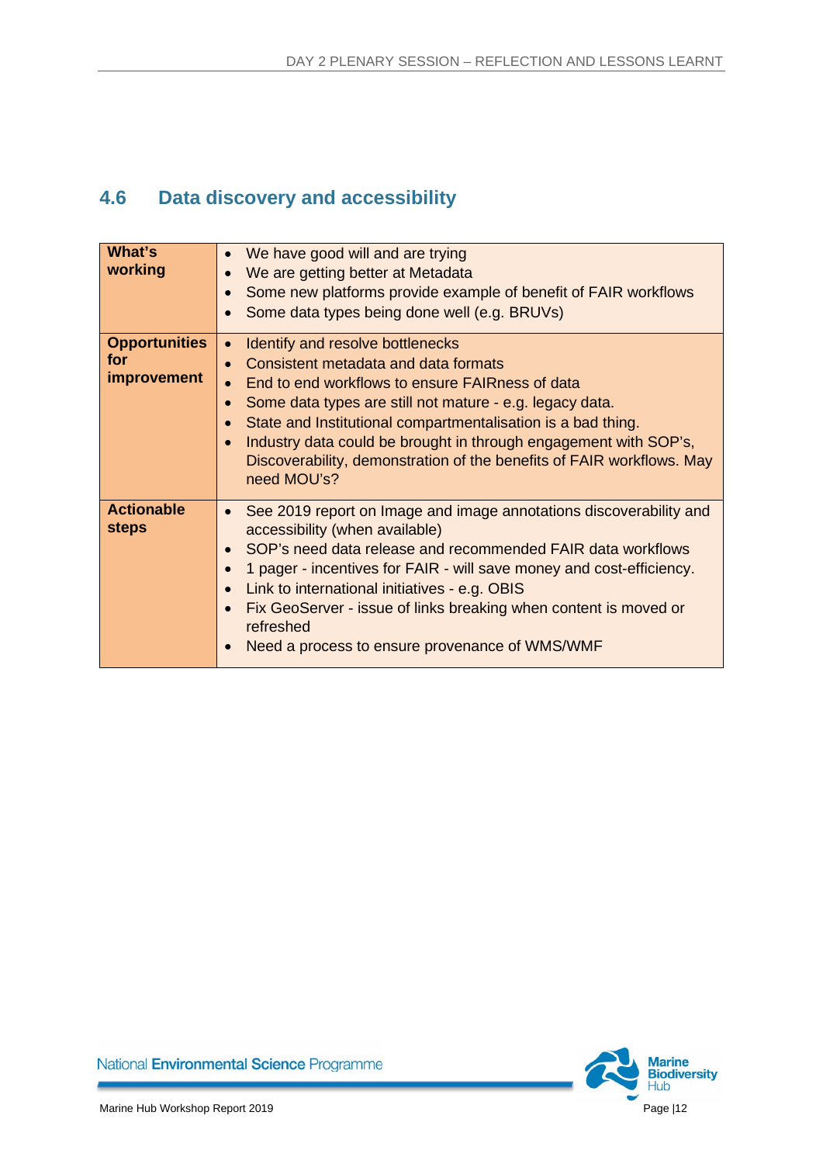## **4.6 Data discovery and accessibility**

| What's<br>working                                 | We have good will and are trying<br>$\bullet$<br>We are getting better at Metadata<br>$\bullet$<br>Some new platforms provide example of benefit of FAIR workflows<br>Some data types being done well (e.g. BRUVs)<br>$\bullet$                                                                                                                                                                                                                                         |
|---------------------------------------------------|-------------------------------------------------------------------------------------------------------------------------------------------------------------------------------------------------------------------------------------------------------------------------------------------------------------------------------------------------------------------------------------------------------------------------------------------------------------------------|
| <b>Opportunities</b><br>for<br><i>improvement</i> | Identify and resolve bottlenecks<br>$\bullet$<br>Consistent metadata and data formats<br>$\bullet$<br>End to end workflows to ensure FAIRness of data<br>Some data types are still not mature - e.g. legacy data.<br>$\bullet$<br>State and Institutional compartmentalisation is a bad thing.<br>Industry data could be brought in through engagement with SOP's,<br>$\bullet$<br>Discoverability, demonstration of the benefits of FAIR workflows. May<br>need MOU's? |
| <b>Actionable</b><br><b>steps</b>                 | See 2019 report on Image and image annotations discoverability and<br>$\bullet$<br>accessibility (when available)<br>SOP's need data release and recommended FAIR data workflows<br>$\bullet$<br>1 pager - incentives for FAIR - will save money and cost-efficiency.<br>Link to international initiatives - e.g. OBIS<br>Fix GeoServer - issue of links breaking when content is moved or<br>$\bullet$<br>refreshed<br>Need a process to ensure provenance of WMS/WMF  |

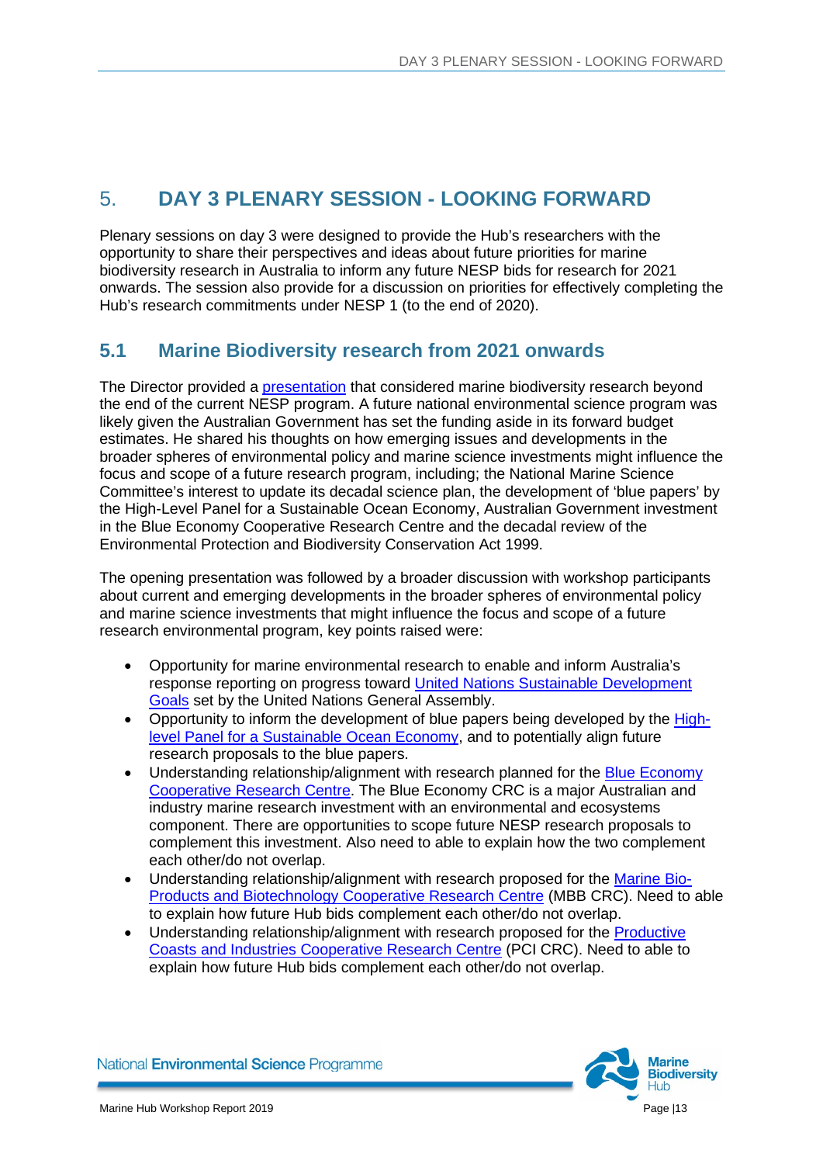#### <span id="page-15-0"></span>5. **DAY 3 PLENARY SESSION - LOOKING FORWARD**

Plenary sessions on day 3 were designed to provide the Hub's researchers with the opportunity to share their perspectives and ideas about future priorities for marine biodiversity research in Australia to inform any future NESP bids for research for 2021 onwards. The session also provide for a discussion on priorities for effectively completing the Hub's research commitments under NESP 1 (to the end of 2020).

#### <span id="page-15-1"></span>**5.1 Marine Biodiversity research from 2021 onwards**

The Director provided a [presentation](https://www.nespmarine.edu.au/sites/default/files/Future%20Research%20-%20Director%27s%20perspective.pdf) that considered marine biodiversity research beyond the end of the current NESP program. A future national environmental science program was likely given the Australian Government has set the funding aside in its forward budget estimates. He shared his thoughts on how emerging issues and developments in the broader spheres of environmental policy and marine science investments might influence the focus and scope of a future research program, including; the National Marine Science Committee's interest to update its decadal science plan, the development of 'blue papers' by the High-Level Panel for a Sustainable Ocean Economy, Australian Government investment in the Blue Economy Cooperative Research Centre and the decadal review of the Environmental Protection and Biodiversity Conservation Act 1999.

The opening presentation was followed by a broader discussion with workshop participants about current and emerging developments in the broader spheres of environmental policy and marine science investments that might influence the focus and scope of a future research environmental program, key points raised were:

- Opportunity for marine environmental research to enable and inform Australia's response reporting on progress toward [United Nations Sustainable Development](https://www.un.org/sustainabledevelopment/sustainable-development-goals/)  [Goals](https://www.un.org/sustainabledevelopment/sustainable-development-goals/) set by the United Nations General Assembly.
- Opportunity to inform the development of blue papers being developed by the [High](https://www.oceanpanel.org/)[level Panel for a Sustainable Ocean Economy,](https://www.oceanpanel.org/) and to potentially align future research proposals to the blue papers.
- Understanding relationship/alignment with research planned for the **Blue Economy** [Cooperative Research Centre.](https://blueeconomycrc.com.au/) The Blue Economy CRC is a major Australian and industry marine research investment with an environmental and ecosystems component. There are opportunities to scope future NESP research proposals to complement this investment. Also need to able to explain how the two complement each other/do not overlap.
- Understanding relationship/alignment with research proposed for the [Marine Bio-](https://mbbcrc.com/)[Products and Biotechnology Cooperative Research Centre](https://mbbcrc.com/) (MBB CRC). Need to able to explain how future Hub bids complement each other/do not overlap.
- Understanding relationship/alignment with research proposed for the Productive [Coasts and Industries Cooperative Research Centre](https://blogs.adelaide.edu.au/environment/2019/06/13/join-the-crc-for-productive-coasts-and-industries/) (PCI CRC). Need to able to explain how future Hub bids complement each other/do not overlap.

**Marine Biodiversity**  $H<sub>th</sub>$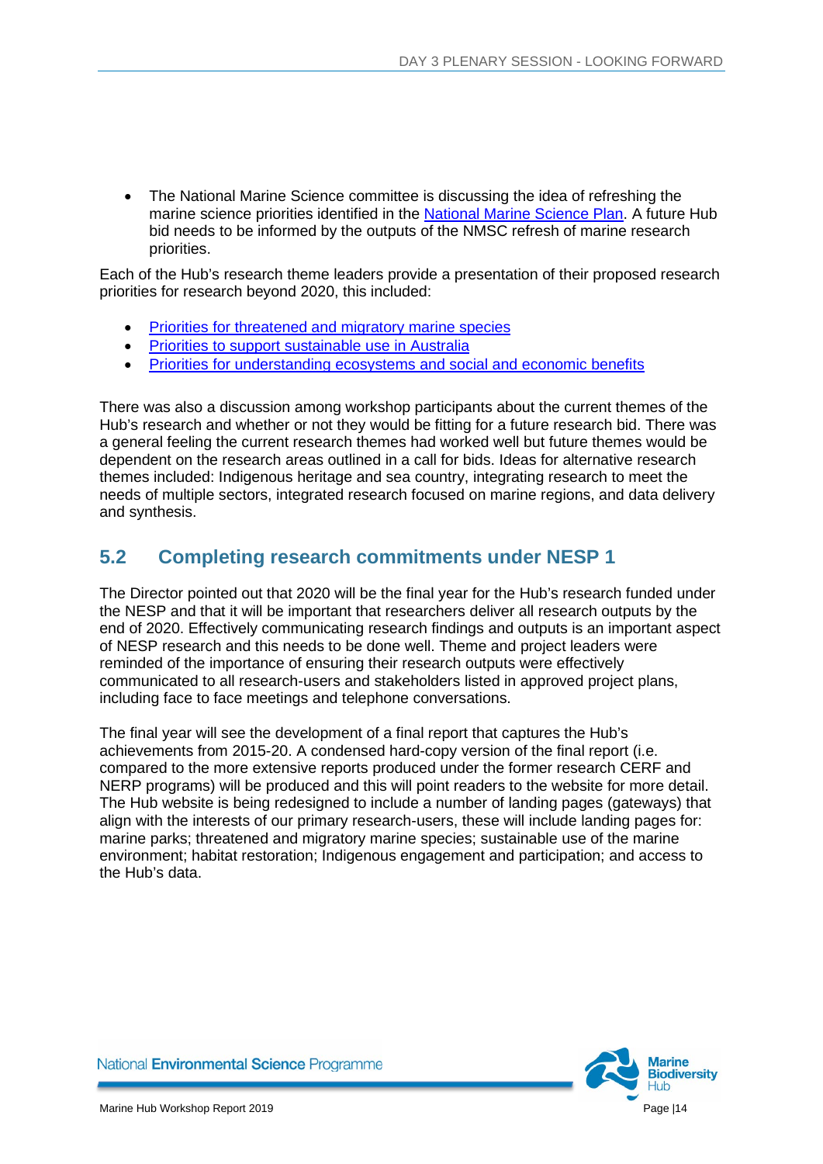• The National Marine Science committee is discussing the idea of refreshing the marine science priorities identified in the [National Marine Science Plan.](https://www.marinescience.net.au/nationalmarinescienceplan/) A future Hub bid needs to be informed by the outputs of the NMSC refresh of marine research priorities.

Each of the Hub's research theme leaders provide a presentation of their proposed research priorities for research beyond 2020, this included:

- [Priorities for threatened and migratory marine species](https://www.nespmarine.edu.au/sites/default/files/Future%20research%20priorities%20Theme%20A.pdf)
- [Priorities to support sustainable use in Australia](https://www.nespmarine.edu.au/sites/default/files/Future%20research%20priorities%20Themes%20BCE.pdf)
- [Priorities for understanding ecosystems and social and economic benefits](https://www.nespmarine.edu.au/sites/default/files/Future%20research%20priorities%20Theme%20D.pdf)

There was also a discussion among workshop participants about the current themes of the Hub's research and whether or not they would be fitting for a future research bid. There was a general feeling the current research themes had worked well but future themes would be dependent on the research areas outlined in a call for bids. Ideas for alternative research themes included: Indigenous heritage and sea country, integrating research to meet the needs of multiple sectors, integrated research focused on marine regions, and data delivery and synthesis.

#### <span id="page-16-0"></span>**5.2 Completing research commitments under NESP 1**

The Director pointed out that 2020 will be the final year for the Hub's research funded under the NESP and that it will be important that researchers deliver all research outputs by the end of 2020. Effectively communicating research findings and outputs is an important aspect of NESP research and this needs to be done well. Theme and project leaders were reminded of the importance of ensuring their research outputs were effectively communicated to all research-users and stakeholders listed in approved project plans, including face to face meetings and telephone conversations.

The final year will see the development of a final report that captures the Hub's achievements from 2015-20. A condensed hard-copy version of the final report (i.e. compared to the more extensive reports produced under the former research CERF and NERP programs) will be produced and this will point readers to the website for more detail. The Hub website is being redesigned to include a number of landing pages (gateways) that align with the interests of our primary research-users, these will include landing pages for: marine parks; threatened and migratory marine species; sustainable use of the marine environment; habitat restoration; Indigenous engagement and participation; and access to the Hub's data.

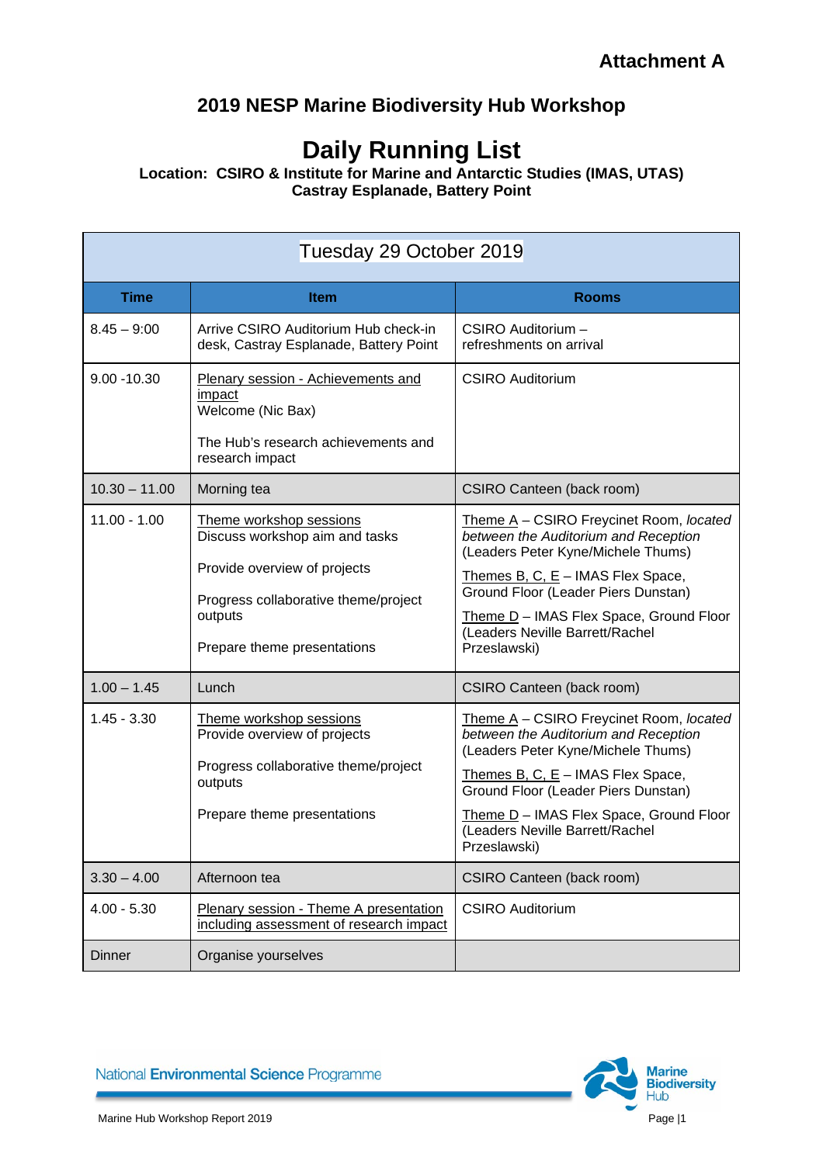## **2019 NESP Marine Biodiversity Hub Workshop**

## **Daily Running List**

**Location: CSIRO & Institute for Marine and Antarctic Studies (IMAS, UTAS) Castray Esplanade, Battery Point**

| Tuesday 29 October 2019 |                                                                                                                                              |                                                                                                                                                                                                                                                |
|-------------------------|----------------------------------------------------------------------------------------------------------------------------------------------|------------------------------------------------------------------------------------------------------------------------------------------------------------------------------------------------------------------------------------------------|
| <b>Time</b>             | <b>Item</b>                                                                                                                                  | <b>Rooms</b>                                                                                                                                                                                                                                   |
| $8.45 - 9:00$           | Arrive CSIRO Auditorium Hub check-in<br>desk, Castray Esplanade, Battery Point                                                               | CSIRO Auditorium -<br>refreshments on arrival                                                                                                                                                                                                  |
| $9.00 - 10.30$          | Plenary session - Achievements and<br>impact<br>Welcome (Nic Bax)<br>The Hub's research achievements and<br>research impact                  | <b>CSIRO Auditorium</b>                                                                                                                                                                                                                        |
| $10.30 - 11.00$         | Morning tea                                                                                                                                  | CSIRO Canteen (back room)                                                                                                                                                                                                                      |
| $11.00 - 1.00$          | Theme workshop sessions<br>Discuss workshop aim and tasks<br>Provide overview of projects<br>Progress collaborative theme/project<br>outputs | Theme A - CSIRO Freycinet Room, located<br>between the Auditorium and Reception<br>(Leaders Peter Kyne/Michele Thums)<br>Themes B, C, $E -$ IMAS Flex Space,<br>Ground Floor (Leader Piers Dunstan)<br>Theme D - IMAS Flex Space, Ground Floor |
|                         | Prepare theme presentations                                                                                                                  | (Leaders Neville Barrett/Rachel<br>Przeslawski)                                                                                                                                                                                                |
| $1.00 - 1.45$           | Lunch                                                                                                                                        | CSIRO Canteen (back room)                                                                                                                                                                                                                      |
| $1.45 - 3.30$           | Theme workshop sessions<br>Provide overview of projects<br>Progress collaborative theme/project<br>outputs                                   | Theme A - CSIRO Freycinet Room, located<br>between the Auditorium and Reception<br>(Leaders Peter Kyne/Michele Thums)<br>Themes B, C, $E - IMAS$ Flex Space,<br>Ground Floor (Leader Piers Dunstan)                                            |
|                         | Prepare theme presentations                                                                                                                  | Theme D - IMAS Flex Space, Ground Floor<br>(Leaders Neville Barrett/Rachel<br>Przeslawski)                                                                                                                                                     |
| $3.30 - 4.00$           | Afternoon tea                                                                                                                                | CSIRO Canteen (back room)                                                                                                                                                                                                                      |
| $4.00 - 5.30$           | Plenary session - Theme A presentation<br>including assessment of research impact                                                            | <b>CSIRO Auditorium</b>                                                                                                                                                                                                                        |
| Dinner                  | Organise yourselves                                                                                                                          |                                                                                                                                                                                                                                                |

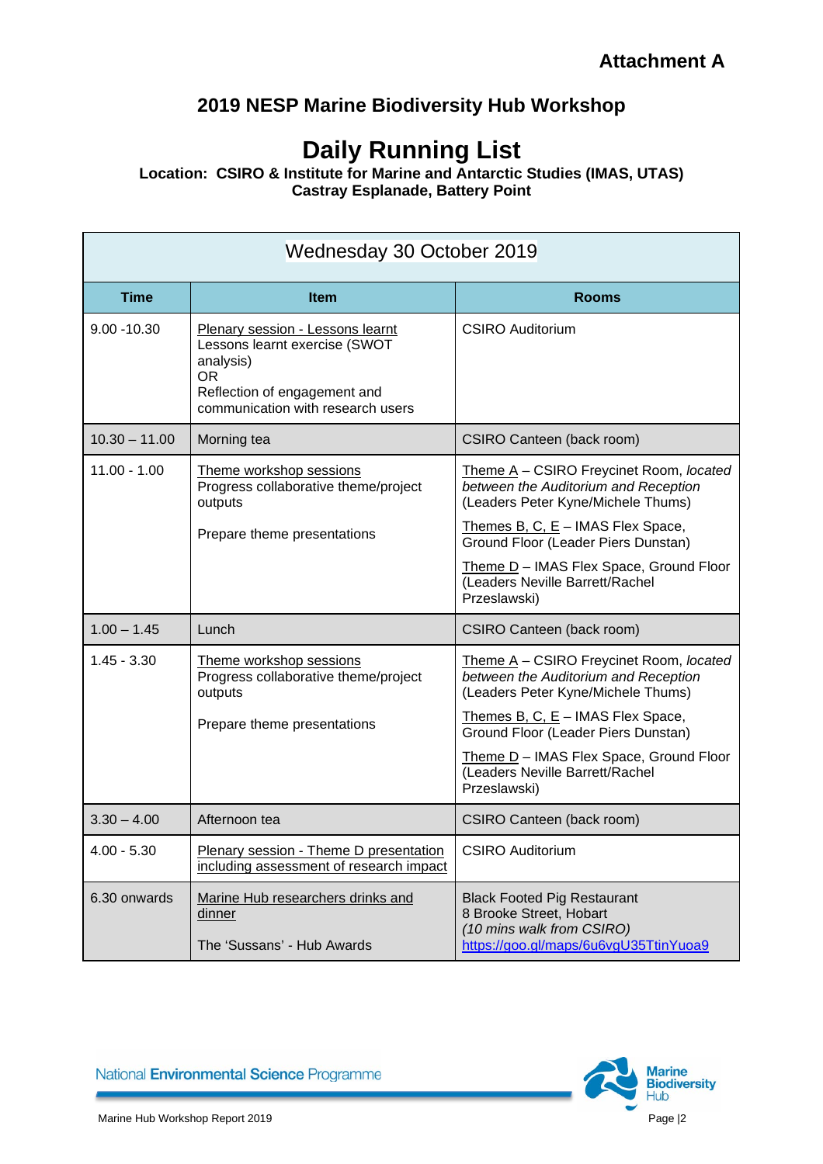## **2019 NESP Marine Biodiversity Hub Workshop**

## **Daily Running List**

**Location: CSIRO & Institute for Marine and Antarctic Studies (IMAS, UTAS) Castray Esplanade, Battery Point**

| Wednesday 30 October 2019 |                                                                                                                                                                  |                                                                                                                                     |
|---------------------------|------------------------------------------------------------------------------------------------------------------------------------------------------------------|-------------------------------------------------------------------------------------------------------------------------------------|
| <b>Time</b>               | <b>Item</b>                                                                                                                                                      | <b>Rooms</b>                                                                                                                        |
| $9.00 - 10.30$            | Plenary session - Lessons learnt<br>Lessons learnt exercise (SWOT<br>analysis)<br><b>OR</b><br>Reflection of engagement and<br>communication with research users | <b>CSIRO Auditorium</b>                                                                                                             |
| $10.30 - 11.00$           | Morning tea                                                                                                                                                      | CSIRO Canteen (back room)                                                                                                           |
| $11.00 - 1.00$            | Theme workshop sessions<br>Progress collaborative theme/project<br>outputs                                                                                       | Theme A - CSIRO Freycinet Room, located<br>between the Auditorium and Reception<br>(Leaders Peter Kyne/Michele Thums)               |
|                           | Prepare theme presentations                                                                                                                                      | Themes B, C, $E -$ IMAS Flex Space,<br>Ground Floor (Leader Piers Dunstan)                                                          |
|                           |                                                                                                                                                                  | Theme D - IMAS Flex Space, Ground Floor<br>(Leaders Neville Barrett/Rachel<br>Przeslawski)                                          |
| $1.00 - 1.45$             | Lunch                                                                                                                                                            | <b>CSIRO Canteen (back room)</b>                                                                                                    |
| $1.45 - 3.30$             | Theme workshop sessions<br>Progress collaborative theme/project<br>outputs                                                                                       | Theme A - CSIRO Freycinet Room, located<br>between the Auditorium and Reception<br>(Leaders Peter Kyne/Michele Thums)               |
|                           | Prepare theme presentations                                                                                                                                      | Themes B, C, $E - IMAS$ Flex Space,<br>Ground Floor (Leader Piers Dunstan)                                                          |
|                           |                                                                                                                                                                  | Theme D - IMAS Flex Space, Ground Floor<br>(Leaders Neville Barrett/Rachel<br>Przeslawski)                                          |
| $3.30 - 4.00$             | Afternoon tea                                                                                                                                                    | CSIRO Canteen (back room)                                                                                                           |
| $4.00 - 5.30$             | Plenary session - Theme D presentation<br>including assessment of research impact                                                                                | <b>CSIRO Auditorium</b>                                                                                                             |
| 6.30 onwards              | Marine Hub researchers drinks and<br>dinner<br>The 'Sussans' - Hub Awards                                                                                        | <b>Black Footed Pig Restaurant</b><br>8 Brooke Street, Hobart<br>(10 mins walk from CSIRO)<br>https://goo.gl/maps/6u6vgU35TtinYuoa9 |

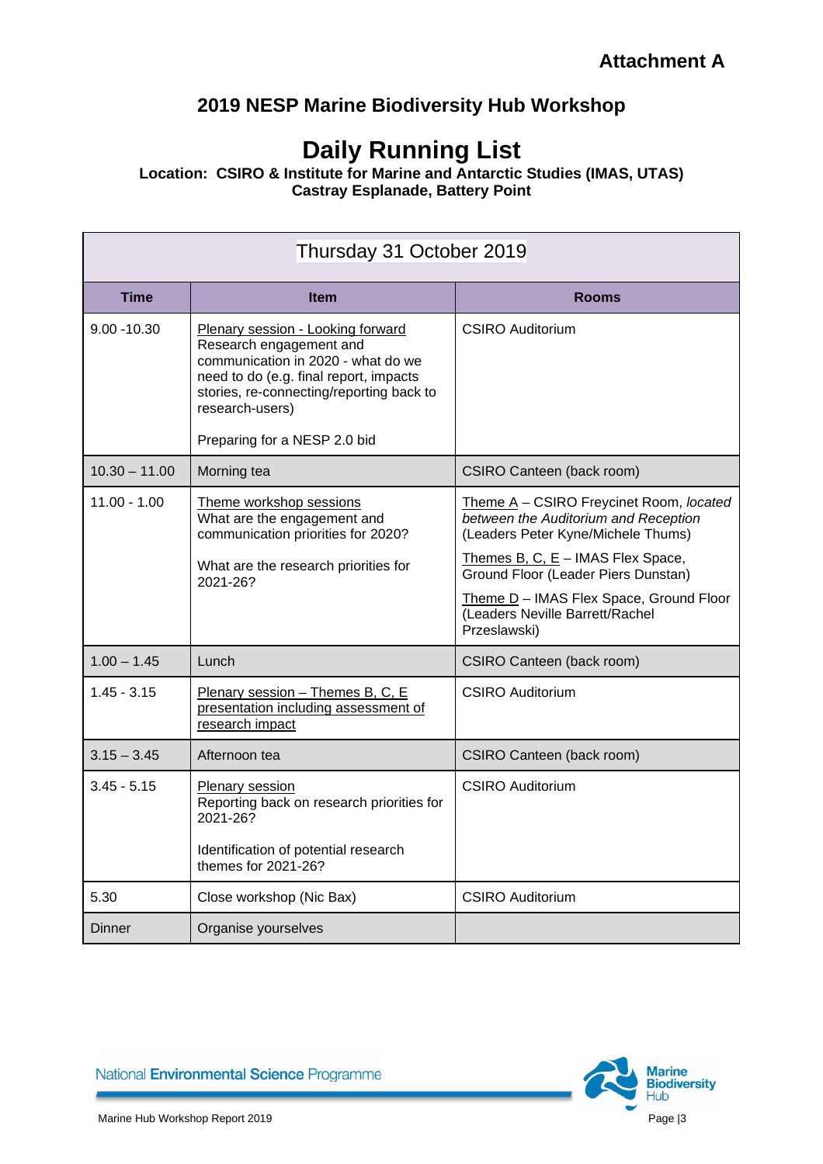## **2019 NESP Marine Biodiversity Hub Workshop**

## **Daily Running List**

**Location: CSIRO & Institute for Marine and Antarctic Studies (IMAS, UTAS) Castray Esplanade, Battery Point**

| Thursday 31 October 2019 |                                                                                                                                                                                                                                             |                                                                                                                                                              |
|--------------------------|---------------------------------------------------------------------------------------------------------------------------------------------------------------------------------------------------------------------------------------------|--------------------------------------------------------------------------------------------------------------------------------------------------------------|
| <b>Time</b>              | <b>Item</b>                                                                                                                                                                                                                                 | <b>Rooms</b>                                                                                                                                                 |
| $9.00 - 10.30$           | Plenary session - Looking forward<br>Research engagement and<br>communication in 2020 - what do we<br>need to do (e.g. final report, impacts<br>stories, re-connecting/reporting back to<br>research-users)<br>Preparing for a NESP 2.0 bid | <b>CSIRO Auditorium</b>                                                                                                                                      |
| $10.30 - 11.00$          | Morning tea                                                                                                                                                                                                                                 | CSIRO Canteen (back room)                                                                                                                                    |
| $11.00 - 1.00$           | Theme workshop sessions<br>What are the engagement and<br>communication priorities for 2020?<br>What are the research priorities for                                                                                                        | Theme A - CSIRO Freycinet Room, located<br>between the Auditorium and Reception<br>(Leaders Peter Kyne/Michele Thums)<br>Themes B, C, $E -$ IMAS Flex Space, |
|                          | 2021-26?                                                                                                                                                                                                                                    | Ground Floor (Leader Piers Dunstan)<br>Theme D - IMAS Flex Space, Ground Floor<br>(Leaders Neville Barrett/Rachel<br>Przeslawski)                            |
| $1.00 - 1.45$            | Lunch                                                                                                                                                                                                                                       | CSIRO Canteen (back room)                                                                                                                                    |
| $1.45 - 3.15$            | Plenary session - Themes B, C, E<br>presentation including assessment of<br>research impact                                                                                                                                                 | <b>CSIRO Auditorium</b>                                                                                                                                      |
| $3.15 - 3.45$            | Afternoon tea                                                                                                                                                                                                                               | CSIRO Canteen (back room)                                                                                                                                    |
| $3.45 - 5.15$            | Plenary session<br>Reporting back on research priorities for<br>2021-26?<br>Identification of potential research<br>themes for 2021-26?                                                                                                     | <b>CSIRO Auditorium</b>                                                                                                                                      |
| 5.30                     | Close workshop (Nic Bax)                                                                                                                                                                                                                    | <b>CSIRO Auditorium</b>                                                                                                                                      |
| Dinner                   | Organise yourselves                                                                                                                                                                                                                         |                                                                                                                                                              |